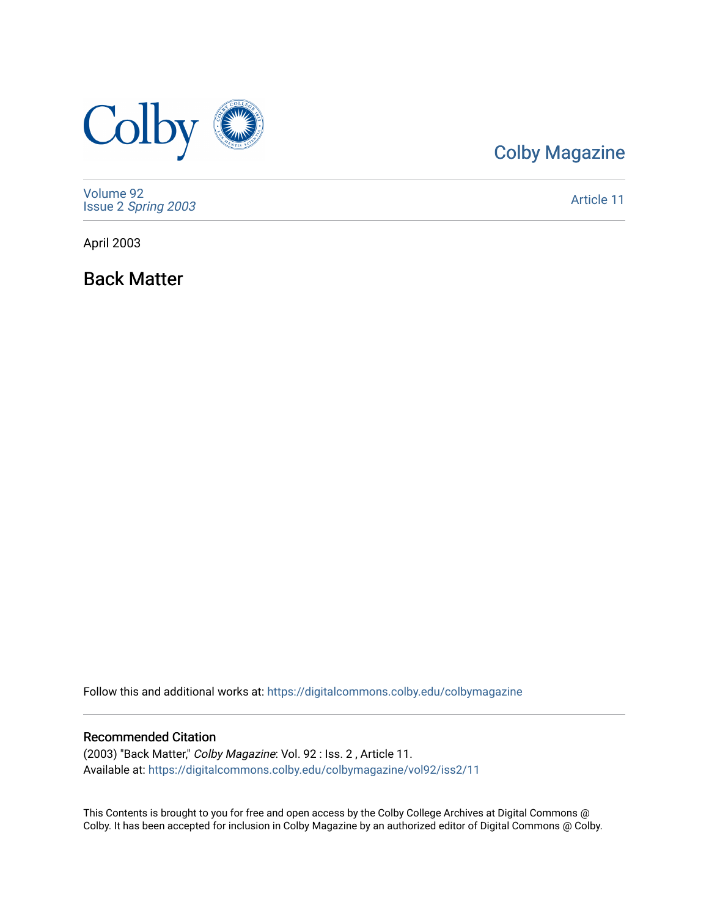

### [Colby Magazine](https://digitalcommons.colby.edu/colbymagazine)

[Volume 92](https://digitalcommons.colby.edu/colbymagazine/vol92) Issue 2 [Spring 2003](https://digitalcommons.colby.edu/colbymagazine/vol92/iss2) 

[Article 11](https://digitalcommons.colby.edu/colbymagazine/vol92/iss2/11) 

April 2003

Back Matter

Follow this and additional works at: [https://digitalcommons.colby.edu/colbymagazine](https://digitalcommons.colby.edu/colbymagazine?utm_source=digitalcommons.colby.edu%2Fcolbymagazine%2Fvol92%2Fiss2%2F11&utm_medium=PDF&utm_campaign=PDFCoverPages)

#### Recommended Citation

(2003) "Back Matter," Colby Magazine: Vol. 92 : Iss. 2 , Article 11. Available at: [https://digitalcommons.colby.edu/colbymagazine/vol92/iss2/11](https://digitalcommons.colby.edu/colbymagazine/vol92/iss2/11?utm_source=digitalcommons.colby.edu%2Fcolbymagazine%2Fvol92%2Fiss2%2F11&utm_medium=PDF&utm_campaign=PDFCoverPages) 

This Contents is brought to you for free and open access by the Colby College Archives at Digital Commons @ Colby. It has been accepted for inclusion in Colby Magazine by an authorized editor of Digital Commons @ Colby.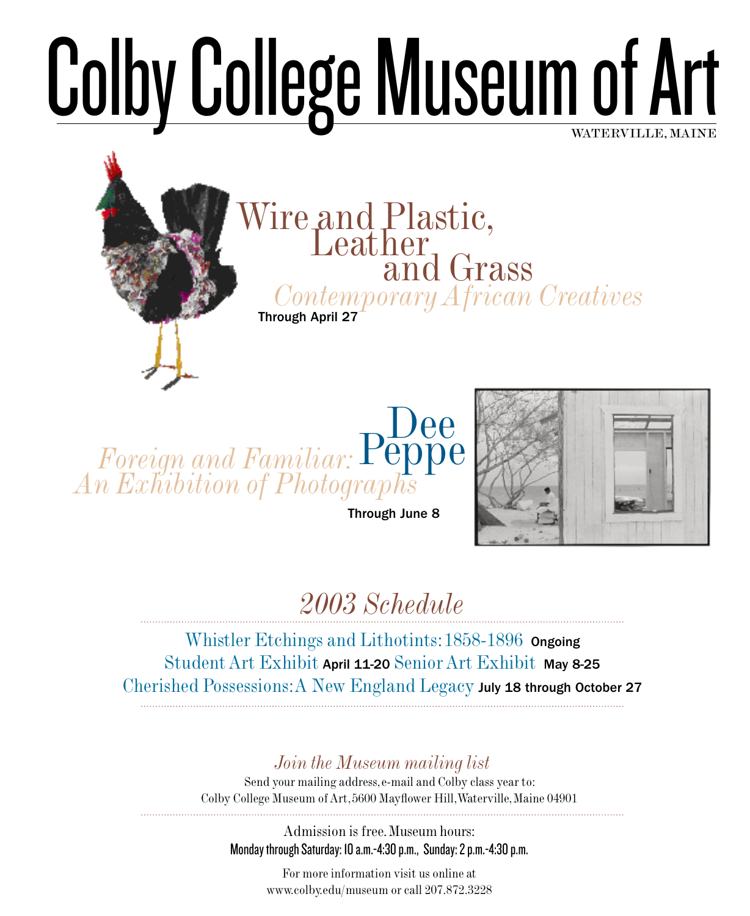# Waterville, Maine Colby College Museum of Art



 *Foreign and Familiar: An Exhibition of Photographs* Dee Peppe

Through June 8



# *2003 Schedule*

Whistler Etchings and Lithotints: 1858-1896 Ongoing Student Art Exhibit April 11-20 Senior Art Exhibit May 8-25 Cherished Possessions: A New England Legacy July 18 through October 27

## *Join the Museum mailing list*

Send your mailing address, e-mail and Colby class year to: Colby College Museum of Art, 5600 Mayflower Hill, Waterville, Maine 04901

Admission is free. Museum hours: Monday through Saturday: 10 a.m.-4:30 p.m., Sunday: 2 p.m.-4:30 p.m.

> For more information visit us online at www.colby.edu/museum or call 207.872.3228